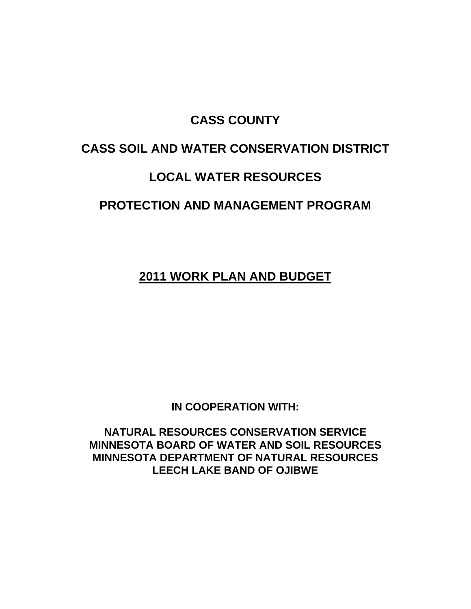## **CASS COUNTY**

# **CASS SOIL AND WATER CONSERVATION DISTRICT**

# **LOCAL WATER RESOURCES**

# **PROTECTION AND MANAGEMENT PROGRAM**

**2011 WORK PLAN AND BUDGET** 

**IN COOPERATION WITH:** 

**NATURAL RESOURCES CONSERVATION SERVICE MINNESOTA BOARD OF WATER AND SOIL RESOURCES MINNESOTA DEPARTMENT OF NATURAL RESOURCES LEECH LAKE BAND OF OJIBWE**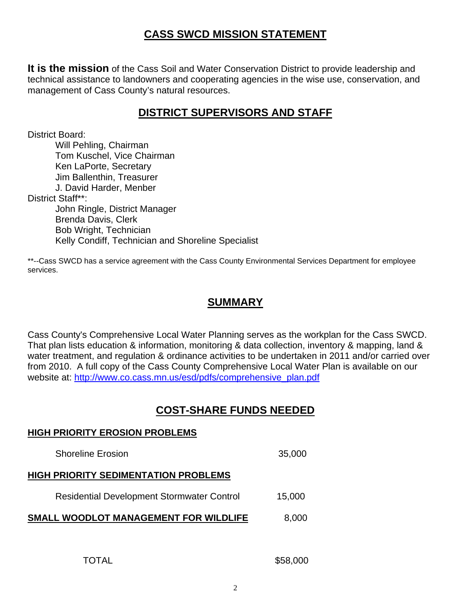## **CASS SWCD MISSION STATEMENT**

**It is the mission** of the Cass Soil and Water Conservation District to provide leadership and technical assistance to landowners and cooperating agencies in the wise use, conservation, and management of Cass County's natural resources.

## **DISTRICT SUPERVISORS AND STAFF**

District Board:

 Will Pehling, Chairman Tom Kuschel, Vice Chairman Ken LaPorte, Secretary Jim Ballenthin, Treasurer J. David Harder, Menber District Staff\*\*: John Ringle, District Manager Brenda Davis, Clerk Bob Wright, Technician Kelly Condiff, Technician and Shoreline Specialist

\*\*--Cass SWCD has a service agreement with the Cass County Environmental Services Department for employee services.

#### **SUMMARY**

Cass County's Comprehensive Local Water Planning serves as the workplan for the Cass SWCD. That plan lists education & information, monitoring & data collection, inventory & mapping, land & water treatment, and regulation & ordinance activities to be undertaken in 2011 and/or carried over from 2010. A full copy of the Cass County Comprehensive Local Water Plan is available on our website at: http://www.co.cass.mn.us/esd/pdfs/comprehensive\_plan.pdf

#### **COST-SHARE FUNDS NEEDED**

# **HIGH PRIORITY EROSION PROBLEMS**  Shoreline Erosion 35,000 **HIGH PRIORITY SEDIMENTATION PROBLEMS**  Residential Development Stormwater Control 15,000 **SMALL WOODLOT MANAGEMENT FOR WILDLIFE** 8,000

TOTAL \$58,000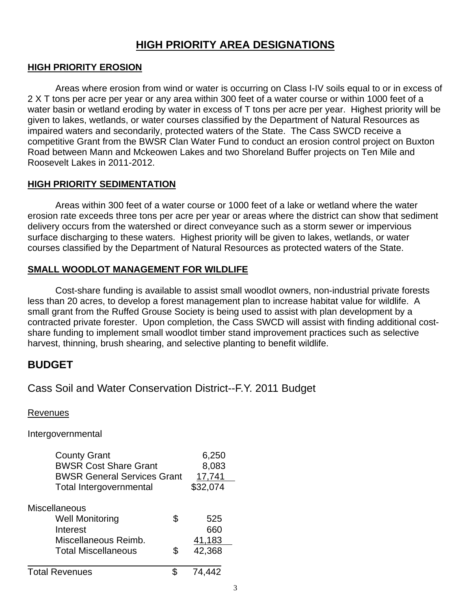#### **HIGH PRIORITY AREA DESIGNATIONS**

#### **HIGH PRIORITY EROSION**

 Areas where erosion from wind or water is occurring on Class I-IV soils equal to or in excess of 2 X T tons per acre per year or any area within 300 feet of a water course or within 1000 feet of a water basin or wetland eroding by water in excess of T tons per acre per year. Highest priority will be given to lakes, wetlands, or water courses classified by the Department of Natural Resources as impaired waters and secondarily, protected waters of the State. The Cass SWCD receive a competitive Grant from the BWSR Clan Water Fund to conduct an erosion control project on Buxton Road between Mann and Mckeowen Lakes and two Shoreland Buffer projects on Ten Mile and Roosevelt Lakes in 2011-2012.

#### **HIGH PRIORITY SEDIMENTATION**

 Areas within 300 feet of a water course or 1000 feet of a lake or wetland where the water erosion rate exceeds three tons per acre per year or areas where the district can show that sediment delivery occurs from the watershed or direct conveyance such as a storm sewer or impervious surface discharging to these waters. Highest priority will be given to lakes, wetlands, or water courses classified by the Department of Natural Resources as protected waters of the State.

#### **SMALL WOODLOT MANAGEMENT FOR WILDLIFE**

 Cost-share funding is available to assist small woodlot owners, non-industrial private forests less than 20 acres, to develop a forest management plan to increase habitat value for wildlife. A small grant from the Ruffed Grouse Society is being used to assist with plan development by a contracted private forester. Upon completion, the Cass SWCD will assist with finding additional costshare funding to implement small woodlot timber stand improvement practices such as selective harvest, thinning, brush shearing, and selective planting to benefit wildlife.

#### **BUDGET**

#### Cass Soil and Water Conservation District--F.Y. 2011 Budget

Revenues

Intergovernmental

| <b>County Grant</b>                | 6,250  |          |
|------------------------------------|--------|----------|
| <b>BWSR Cost Share Grant</b>       | 8,083  |          |
| <b>BWSR General Services Grant</b> | 17,741 |          |
| <b>Total Intergovernmental</b>     |        | \$32,074 |
| <b>Miscellaneous</b>               |        |          |
| <b>Well Monitoring</b>             | \$     | 525      |
| Interest                           |        | 660      |
| Miscellaneous Reimb.               |        | 41,183   |
| <b>Total Miscellaneous</b>         | S      | 42,368   |
| <b>Total Revenues</b>              |        | 74,442   |